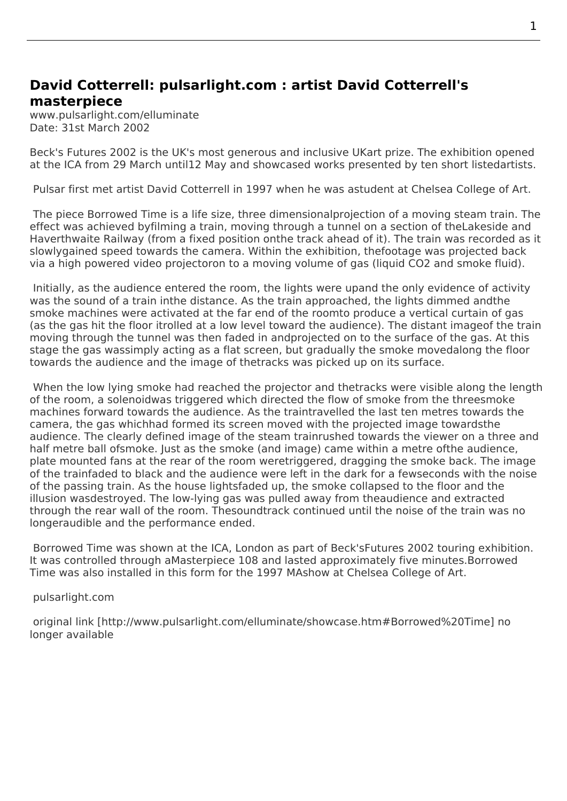## **David Cotterrell: pulsarlight.com : artist David Cotterrell's masterpiece**

www.pulsarlight.com/elluminate Date: 31st March 2002

Beck's Futures 2002 is the UK's most generous and inclusive UKart prize. The exhibition opened at the ICA from 29 March until12 May and showcased works presented by ten short listedartists.

 [Pulsar first met artis](http://www.cotterrell.com/exhibitions/3035/becks-futures-2002-london/)t David Cotterrell in 1997 when he was astudent at Chelsea College of Art.

 The piece Borrowed Time is a life size, three dimensionalprojection of a moving steam train. The effect was achieved byfilming a train, moving through a tunnel on a section of theLakeside and Haverthwaite Railway (from a fixed position onthe track ahead of it). The train was recorded as it slowlygained speed towards the camera. Within the exhibition, thefootage was projected back via a high [powered video p](http://www.cotterrell.com/projects/12/borrowed-time-v/)rojectoron to a moving volume of gas (liquid CO2 and smoke fluid).

 Initially, as the audience entered the room, the lights were upand the only evidence of activity was the sound of a train inthe distance. As the train approached, the lights dimmed andthe smoke machines were activated at the far end of the roomto produce a vertical curtain of gas (as the gas hit the floor itrolled at a low level toward the audience). The distant imageof the train moving through the tunnel was then faded in andprojected on to the surface of the gas. At this stage the gas wassimply acting as a flat screen, but gradually the smoke movedalong the floor towards the audience and the image of thetracks was picked up on its surface.

 When the low lying smoke had reached the projector and thetracks were visible along the length of the room, a solenoidwas triggered which directed the flow of smoke from the threesmoke machines forward towards the audience. As the traintravelled the last ten metres towards the camera, the gas whichhad formed its screen moved with the projected image towardsthe audience. The clearly defined image of the steam trainrushed towards the viewer on a three and half metre ball ofsmoke. Just as the smoke (and image) came within a metre ofthe audience, plate mounted fans at the rear of the room weretriggered, dragging the smoke back. The image of the trainfaded to black and the audience were left in the dark for a fewseconds with the noise of the passing train. As the house lightsfaded up, the smoke collapsed to the floor and the illusion wasdestroyed. The low-lying gas was pulled away from theaudience and extracted through the rear wall of the room. Thesoundtrack continued until the noise of the train was no longeraudible and the performance ended.

Borrowed Time was shown at the ICA, London as part of Beck'sFutures 2002 touring exhibition. It was controlled through aMasterpiece 108 and lasted approximately five minutes.Borrowed Time was also installed in this form for the 1997 MAshow at Chelsea College of Art.

[pulsarlight.com](http://www.cotterrell.com/projects/12/borrowed-time-v/)

 [origi](http://www.cotterrell.com/projects/12/borrowed-time-v/)nal link [http://www.pulsarlight.com/elluminate/showcase.htm#Borrowed%20Time] no longer available